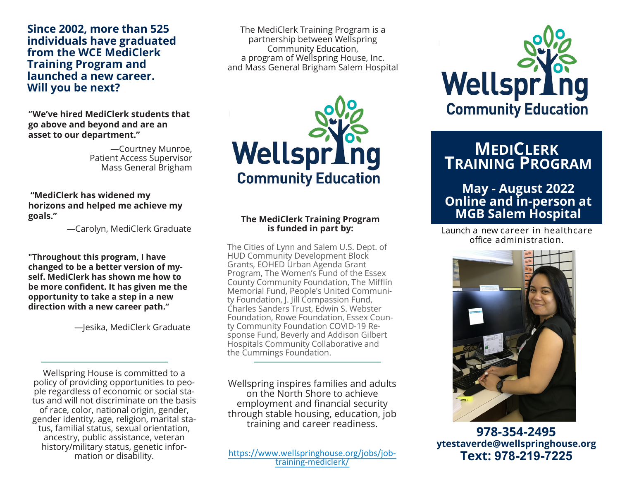**Since 2002, more than 525 individuals have graduated from the WCE MediClerk Training Program and launched a new career. Will you be next?**

**"We've hired MediClerk students that go above and beyond and are an asset to our department."**

> —Courtney Munroe, Patient Access Supervisor Mass General Brigham

**"MediClerk has widened my horizons and helped me achieve my goals."**

—Carolyn, MediClerk Graduate

**"Throughout this program, I have changed to be a better version of myself. MediClerk has shown me how to be more confident. It has given me the opportunity to take a step in a new direction with a new career path."**

—Jesika, MediClerk Graduate

Wellspring House is committed to a policy of providing opportunities to people regardless of economic or social status and will not discriminate on the basis of race, color, national origin, gender, gender identity, age, religion, marital status, familial status, sexual orientation, ancestry, public assistance, veteran history/military status, genetic information or disability.

The MediClerk Training Program is a partnership between Wellspring Community Education, a program of Wellspring House, Inc. and Mass General Brigham Salem Hospital



#### **The MediClerk Training Program is funded in part by:**

The Cities of Lynn and Salem U.S. Dept. of HUD Community Development Block Grants, EOHED Urban Agenda Grant Program, The Women's Fund of the Essex County Community Foundation, The Mifflin Memorial Fund, People's United Community Foundation, J. Jill Compassion Fund, Charles Sanders Trust, Edwin S. Webster Foundation, Rowe Foundation, Essex County Community Foundation COVID-19 Response Fund, Beverly and Addison Gilbert Hospitals Community Collaborative and the Cummings Foundation.

Wellspring inspires families and adults on the North Shore to achieve employment and financial security through stable housing, education, job training and career readiness.

[https://www.wellspringhouse.org/jobs/job](https://www.wellspringhouse.org/jobs/job-training-mediclerk/)training-mediclerk/



## **MEDICLERK TRAINING PROGRAM**

### **May - August 2022 Online and in-person at MGB Salem Hospital**

Launch a new career in healthcare office administration.



**978-354-2495 ytestaverde@wellspringhouse.org Text: 978-219-7225**